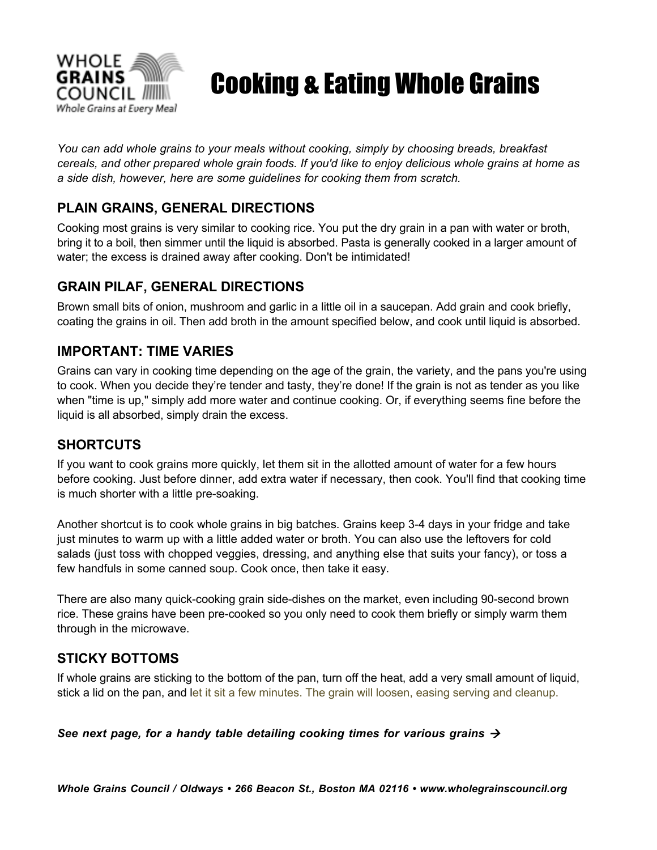

# Cooking & Eating Whole Grains

*You can add whole grains to your meals without cooking, simply by choosing breads, breakfast cereals, and other prepared whole grain foods. If you'd like to enjoy delicious whole grains at home as a side dish, however, here are some guidelines for cooking them from scratch.*

## **PLAIN GRAINS, GENERAL DIRECTIONS**

Cooking most grains is very similar to cooking rice. You put the dry grain in a pan with water or broth, bring it to a boil, then simmer until the liquid is absorbed. Pasta is generally cooked in a larger amount of water; the excess is drained away after cooking. Don't be intimidated!

### **GRAIN PILAF, GENERAL DIRECTIONS**

Brown small bits of onion, mushroom and garlic in a little oil in a saucepan. Add grain and cook briefly, coating the grains in oil. Then add broth in the amount specified below, and cook until liquid is absorbed.

#### **IMPORTANT: TIME VARIES**

Grains can vary in cooking time depending on the age of the grain, the variety, and the pans you're using to cook. When you decide they're tender and tasty, they're done! If the grain is not as tender as you like when "time is up," simply add more water and continue cooking. Or, if everything seems fine before the liquid is all absorbed, simply drain the excess.

#### **SHORTCUTS**

If you want to cook grains more quickly, let them sit in the allotted amount of water for a few hours before cooking. Just before dinner, add extra water if necessary, then cook. You'll find that cooking time is much shorter with a little pre-soaking.

Another shortcut is to cook whole grains in big batches. Grains keep 3-4 days in your fridge and take just minutes to warm up with a little added water or broth. You can also use the leftovers for cold salads (just toss with chopped veggies, dressing, and anything else that suits your fancy), or toss a few handfuls in some canned soup. Cook once, then take it easy.

There are also many quick-cooking grain side-dishes on the market, even including 90-second brown rice. These grains have been pre-cooked so you only need to cook them briefly or simply warm them through in the microwave.

#### **STICKY BOTTOMS**

If whole grains are sticking to the bottom of the pan, turn off the heat, add a very small amount of liquid, stick a lid on the pan, and let it sit a few minutes. The grain will loosen, easing serving and cleanup.

*See next page, for a handy table detailing cooking times for various grains*